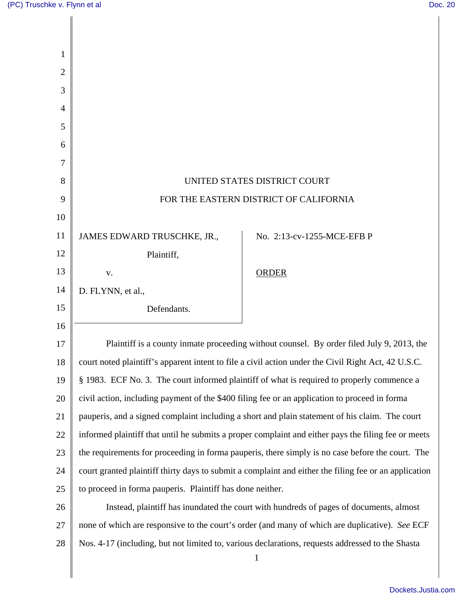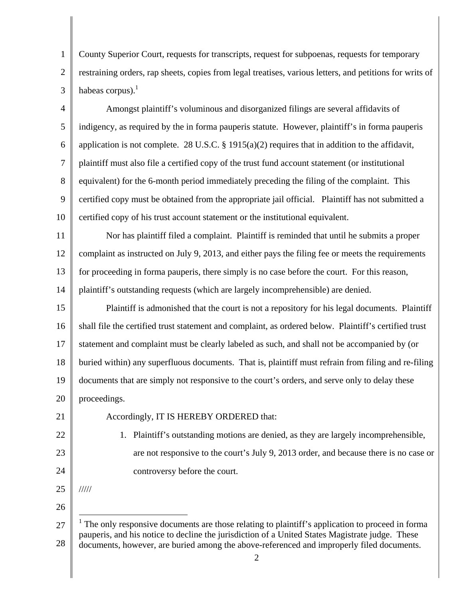1 2 3 County Superior Court, requests for transcripts, request for subpoenas, requests for temporary restraining orders, rap sheets, copies from legal treatises, various letters, and petitions for writs of habeas corpus). $<sup>1</sup>$ </sup>

4 5 6 7 8 9 10 Amongst plaintiff's voluminous and disorganized filings are several affidavits of indigency, as required by the in forma pauperis statute. However, plaintiff's in forma pauperis application is not complete. 28 U.S.C. § 1915(a)(2) requires that in addition to the affidavit, plaintiff must also file a certified copy of the trust fund account statement (or institutional equivalent) for the 6-month period immediately preceding the filing of the complaint. This certified copy must be obtained from the appropriate jail official. Plaintiff has not submitted a certified copy of his trust account statement or the institutional equivalent.

11 12 13 14 Nor has plaintiff filed a complaint. Plaintiff is reminded that until he submits a proper complaint as instructed on July 9, 2013, and either pays the filing fee or meets the requirements for proceeding in forma pauperis, there simply is no case before the court. For this reason, plaintiff's outstanding requests (which are largely incomprehensible) are denied.

15 16 17 18 19 20 Plaintiff is admonished that the court is not a repository for his legal documents. Plaintiff shall file the certified trust statement and complaint, as ordered below. Plaintiff's certified trust statement and complaint must be clearly labeled as such, and shall not be accompanied by (or buried within) any superfluous documents. That is, plaintiff must refrain from filing and re-filing documents that are simply not responsive to the court's orders, and serve only to delay these proceedings.

21

22

23

24

Accordingly, IT IS HEREBY ORDERED that:

1. Plaintiff's outstanding motions are denied, as they are largely incomprehensible, are not responsive to the court's July 9, 2013 order, and because there is no case or controversy before the court.

25

/////

 $\overline{1}$ 

26

<sup>27</sup>  28 <sup>1</sup> The only responsive documents are those relating to plaintiff's application to proceed in forma pauperis, and his notice to decline the jurisdiction of a United States Magistrate judge. These documents, however, are buried among the above-referenced and improperly filed documents.